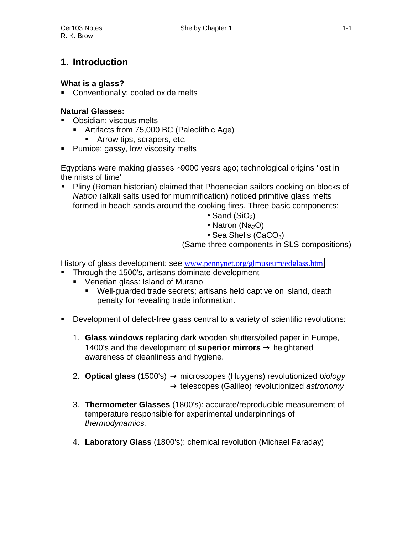# **1. Introduction**

### **What is a glass?**

**Conventionally: cooled oxide melts** 

## **Natural Glasses:**

- Obsidian: viscous melts
	- Artifacts from 75,000 BC (Paleolithic Age)
		- **Arrow tips, scrapers, etc.**
- **Pumice; gassy, low viscosity melts**

Egyptians were making glasses ∼9000 years ago; technological origins 'lost in the mists of time'

- Pliny (Roman historian) claimed that Phoenecian sailors cooking on blocks of *Natron* (alkali salts used for mummification) noticed primitive glass melts formed in beach sands around the cooking fires. Three basic components:
	- Sand  $(SiO<sub>2</sub>)$
	- Natron (Na<sub>2</sub>O)
	- Sea Shells (CaCO<sub>3</sub>)

(Same three components in SLS compositions)

History of glass development: see [www.pennynet.org/glmuseum/edglass.htm](http://www.pennynet.org/glmuseum/edglass.htm)

- **Through the 1500's, artisans dominate development** 
	- Venetian glass: Island of Murano
		- Well-guarded trade secrets; artisans held captive on island, death penalty for revealing trade information.
- Development of defect-free glass central to a variety of scientific revolutions:
	- 1. **Glass windows** replacing dark wooden shutters/oiled paper in Europe, 1400's and the development of **superior mirrors** → heightened awareness of cleanliness and hygiene.
	- 2. **Optical glass** (1500's) → microscopes (Huygens) revolutionized *biology* → telescopes (Galileo) revolutionized *astronomy*
	- 3. **Thermometer Glasses** (1800's): accurate/reproducible measurement of temperature responsible for experimental underpinnings of *thermodynamics.*
	- 4. **Laboratory Glass** (1800's): chemical revolution (Michael Faraday)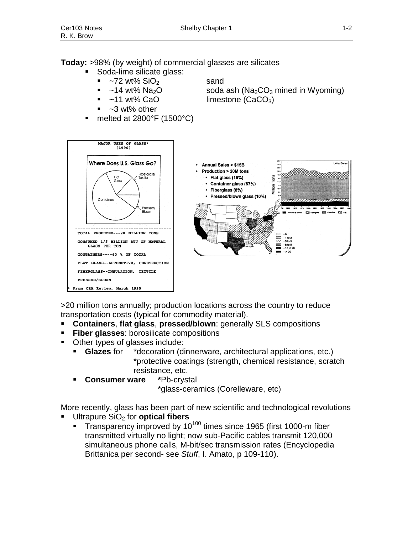#### **Today:** >98% (by weight) of commercial glasses are silicates

- Soda-lime silicate glass:
	- $\sim$ 72 wt% SiO<sub>2</sub> sand
	-
	-
	- $~1$ ~3 wt% other
- melted at 2800°F (1500°C)

 $\sim$ 14 wt% Na<sub>2</sub>O soda ash (Na<sub>2</sub>CO<sub>3</sub> mined in Wyoming)  $~11$  wt% CaO limestone (CaCO<sub>3</sub>)



>20 million tons annually; production locations across the country to reduce transportation costs (typical for commodity material).

- **Containers**, **flat glass**, **pressed/blown**: generally SLS compositions
- **Fiber glasses:** borosilicate compositions
- Other types of glasses include:
	- **Glazes** for \*decoration (dinnerware, architectural applications, etc.) \*protective coatings (strength, chemical resistance, scratch resistance, etc.
	- **Consumer ware \***Pb-crystal

\*glass-ceramics (Corelleware, etc)

More recently, glass has been part of new scientific and technological revolutions

- Ultrapure SiO2 for **optical fibers**
	- $T$ ransparency improved by 10<sup>100</sup> times since 1965 (first 1000-m fiber transmitted virtually no light; now sub-Pacific cables transmit 120,000 simultaneous phone calls, M-bit/sec transmission rates (Encyclopedia Brittanica per second- see *Stuff*, I. Amato, p 109-110).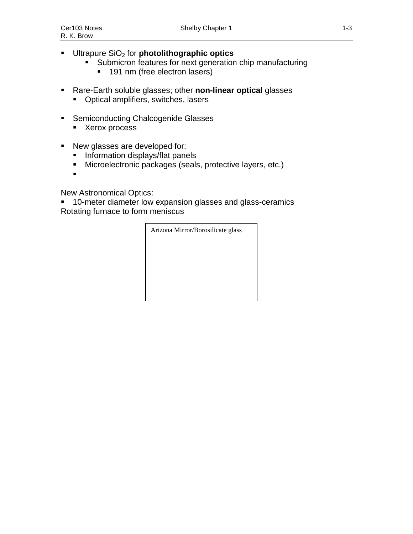- **Ultrapure SiO<sub>2</sub> for photolithographic optics** 
	- **Submicron features for next generation chip manufacturing** 
		- **191 nm (free electron lasers)**
- Rare-Earth soluble glasses; other **non-linear optical** glasses
	- **•** Optical amplifiers, switches, lasers
- **EXEC** Semiconducting Chalcogenide Glasses
	- **Xerox process**
- New glasses are developed for:
	- **Information displays/flat panels**
	- Microelectronic packages (seals, protective layers, etc.)
	- $\blacksquare$

New Astronomical Optics:

 10-meter diameter low expansion glasses and glass-ceramics Rotating furnace to form meniscus

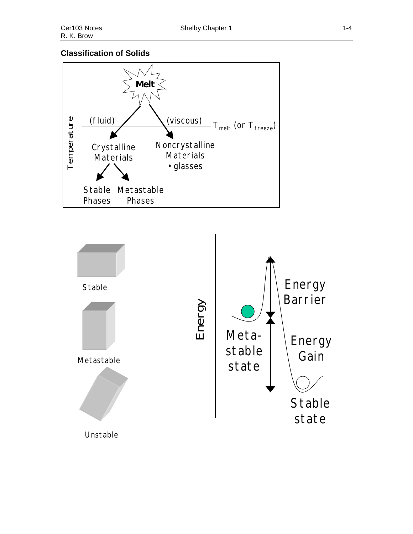## **Classification of Solids**



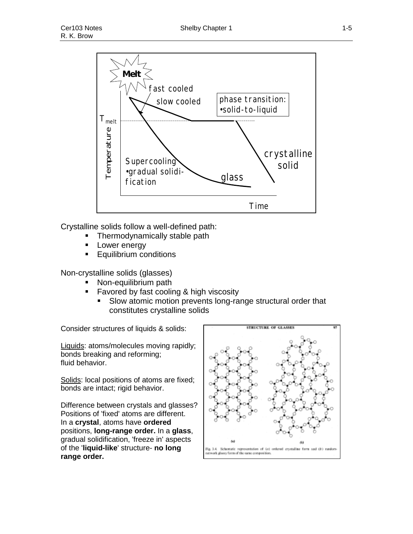

Crystalline solids follow a well-defined path:

- Thermodynamically stable path
- Lower energy
- Equilibrium conditions

Non-crystalline solids (glasses)

- Non-equilibrium path
- **Favored by fast cooling & high viscosity** 
	- Slow atomic motion prevents long-range structural order that constitutes crystalline solids

Consider structures of liquids & solids:

Liquids: atoms/molecules moving rapidly; bonds breaking and reforming; fluid behavior.

Solids: local positions of atoms are fixed; bonds are intact; rigid behavior.

Difference between crystals and glasses? Positions of 'fixed' atoms are different. In a **crystal**, atoms have **ordered** positions, **long-range order.** In a **glass**, gradual solidification, 'freeze in' aspects of the '**liquid-like**' structure- **no long range order.**

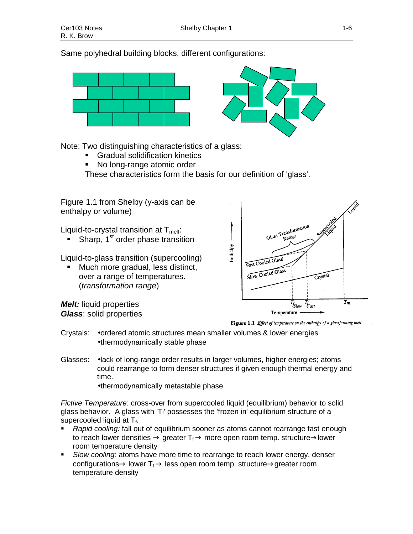Same polyhedral building blocks, different configurations:





Note: Two distinguishing characteristics of a glass:

- Gradual solidification kinetics
- No long-range atomic order

These characteristics form the basis for our definition of 'glass'.



Figure 1.1 Effect of temperature on the enthalpy of a glassforming melt

- Crystals: •ordered atomic structures mean smaller volumes & lower energies •thermodynamically stable phase
- Glasses: •lack of long-range order results in larger volumes, higher energies; atoms could rearrange to form denser structures if given enough thermal energy and time.

•thermodynamically metastable phase

*Fictive Temperature*: cross-over from supercooled liquid (equilibrium) behavior to solid glass behavior. A glass with 'T<sub>f</sub>' possesses the 'frozen in' equilibrium structure of a supercooled liquid at  $T_{f}$ .

- *Rapid cooling:* fall out of equilibrium sooner as atoms cannot rearrange fast enough to reach lower densities  $\rightarrow$  greater  $T_f \rightarrow$  more open room temp. structure $\rightarrow$ lower room temperature density
- *Slow cooling:* atoms have more time to rearrange to reach lower energy, denser configurations  $\rightarrow$  lower T<sub>f</sub>  $\rightarrow$  less open room temp. structure  $\rightarrow$  greater room temperature density